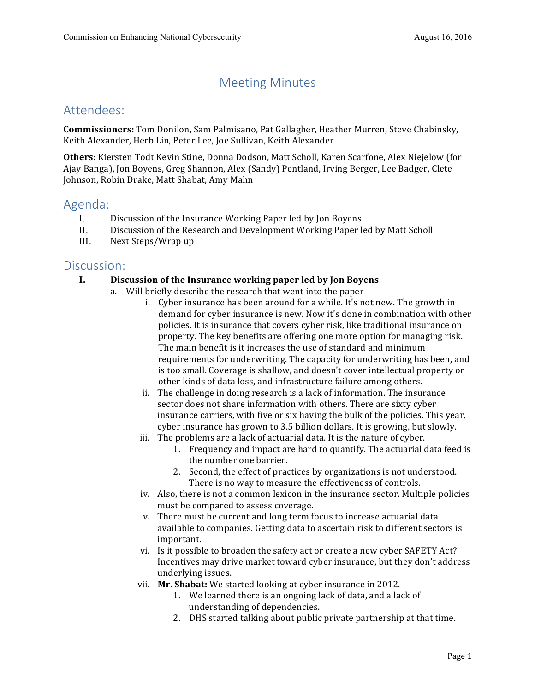# Meeting Minutes

# Attendees:

 **Commissioners:** Tom Donilon, Sam Palmisano, Pat Gallagher, Heather Murren, Steve Chabinsky, Keith Alexander, Herb Lin, Peter Lee, Joe Sullivan, Keith Alexander

 **Others**: Kiersten Todt Kevin Stine, Donna Dodson, Matt Scholl, Karen Scarfone, Alex Niejelow (for Ajay Banga), Jon Boyens, Greg Shannon, Alex (Sandy) Pentland, Irving Berger, Lee Badger, Clete Johnson, Robin Drake, Matt Shabat, Amy Mahn

# Agenda:

- I. Discussion of the Insurance Working Paper led by Jon Boyens
- II. Discussion of the Research and Development Working Paper led by Matt Scholl
- III. Next Steps/Wrap up

## Discussion:

### **I. Discussion of the Insurance working paper led by Jon Boyens**

- a. Will briefly describe the research that went into the paper
	- i. Cyber insurance has been around for a while. It's not new. The growth in demand for cyber insurance is new. Now it's done in combination with other policies. It is insurance that covers cyber risk, like traditional insurance on property. The key benefits are offering one more option for managing risk. The main benefit is it increases the use of standard and minimum requirements for underwriting. The capacity for underwriting has been, and is too small. Coverage is shallow, and doesn't cover intellectual property or other kinds of data loss, and infrastructure failure among others.
	- ii. The challenge in doing research is a lack of information. The insurance sector does not share information with others. There are sixty cyber insurance carriers, with five or six having the bulk of the policies. This year, cyber insurance has grown to 3.5 billion dollars. It is growing, but slowly.
	- iii. The problems are a lack of actuarial data. It is the nature of cyber.
		- 1. Frequency and impact are hard to quantify. The actuarial data feed is the number one barrier.
		- 2. Second, the effect of practices by organizations is not understood. There is no way to measure the effectiveness of controls.
	- iv. Also, there is not a common lexicon in the insurance sector. Multiple policies must be compared to assess coverage.
	- v. There must be current and long term focus to increase actuarial data available to companies. Getting data to ascertain risk to different sectors is important.
	- vi. Is it possible to broaden the safety act or create a new cyber SAFETY Act? Incentives may drive market toward cyber insurance, but they don't address underlying issues.
	- vii. **Mr. Shabat:** We started looking at cyber insurance in 2012.
		- 1. We learned there is an ongoing lack of data, and a lack of understanding of dependencies.
		- 2. DHS started talking about public private partnership at that time.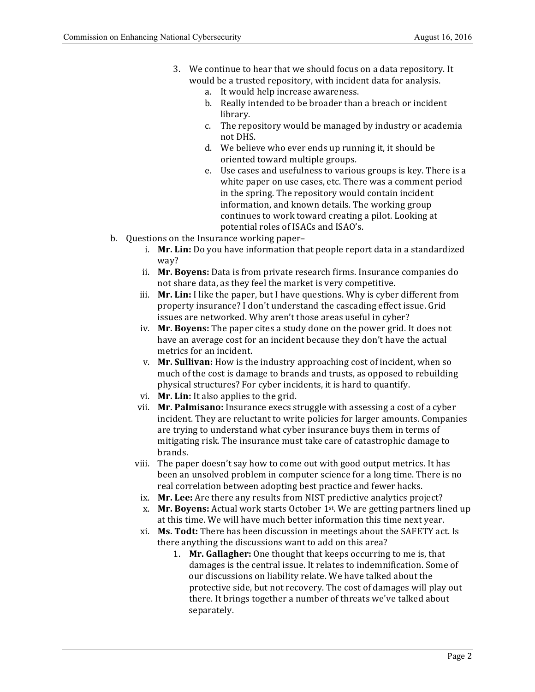- 3. We continue to hear that we should focus on a data repository. It would be a trusted repository, with incident data for analysis.
	- a. It would help increase awareness.
	- b. Really intended to be broader than a breach or incident library.
	- c. The repository would be managed by industry or academia not DHS.
	- d. We believe who ever ends up running it, it should be oriented toward multiple groups.
	- e. Use cases and usefulness to various groups is key. There is a white paper on use cases, etc. There was a comment period in the spring. The repository would contain incident information, and known details. The working group continues to work toward creating a pilot. Looking at potential roles of ISACs and ISAO's.
- b. Questions on the Insurance working paper
	- i. **Mr. Lin:** Do you have information that people report data in a standardized way?
	- ii. Mr. Boyens: Data is from private research firms. Insurance companies do not share data, as they feel the market is very competitive.
	- iii. **Mr. Lin:** I like the paper, but I have questions. Why is cyber different from property insurance? I don't understand the cascading effect issue. Grid issues are networked. Why aren't those areas useful in cyber?
	- iv. Mr. Boyens: The paper cites a study done on the power grid. It does not have an average cost for an incident because they don't have the actual metrics for an incident.
	- v. Mr. Sullivan: How is the industry approaching cost of incident, when so much of the cost is damage to brands and trusts, as opposed to rebuilding physical structures? For cyber incidents, it is hard to quantify.
	- vi. Mr. Lin: It also applies to the grid.
	- vii. **Mr. Palmisano:** Insurance execs struggle with assessing a cost of a cyber incident. They are reluctant to write policies for larger amounts. Companies are trying to understand what cyber insurance buys them in terms of mitigating risk. The insurance must take care of catastrophic damage to brands.
	- viii. The paper doesn't say how to come out with good output metrics. It has been an unsolved problem in computer science for a long time. There is no real correlation between adopting best practice and fewer hacks.
		- ix. Mr. Lee: Are there any results from NIST predictive analytics project?
		- x. **Mr. Boyens:** Actual work starts October 1st. We are getting partners lined up at this time. We will have much better information this time next year.
	- xi. **Ms. Todt:** There has been discussion in meetings about the SAFETY act. Is there anything the discussions want to add on this area?
		- 1. **Mr. Gallagher:** One thought that keeps occurring to me is, that damages is the central issue. It relates to indemnification. Some of our discussions on liability relate. We have talked about the protective side, but not recovery. The cost of damages will play out there. It brings together a number of threats we've talked about separately.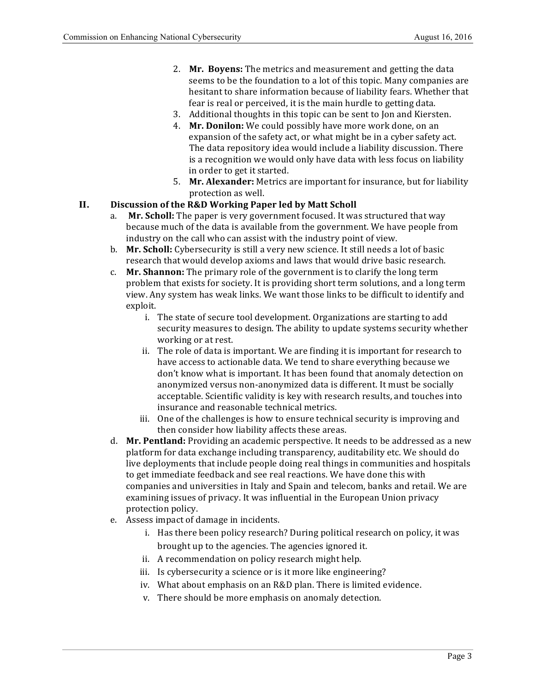- 2. Mr. Boyens: The metrics and measurement and getting the data seems to be the foundation to a lot of this topic. Many companies are hesitant to share information because of liability fears. Whether that fear is real or perceived, it is the main hurdle to getting data.
- 3. Additional thoughts in this topic can be sent to Jon and Kiersten.
- 4. Mr. Donilon: We could possibly have more work done, on an expansion of the safety act, or what might be in a cyber safety act. The data repository idea would include a liability discussion. There is a recognition we would only have data with less focus on liability in order to get it started.
- 5. Mr. Alexander: Metrics are important for insurance, but for liability protection as well.

#### **II. Discussion of the R&D Working Paper led by Matt Scholl**

- a. Mr. Scholl: The paper is very government focused. It was structured that way because much of the data is available from the government. We have people from industry on the call who can assist with the industry point of view.
- b. **Mr. Scholl:** Cybersecurity is still a very new science. It still needs a lot of basic research that would develop axioms and laws that would drive basic research.
- c. Mr. Shannon: The primary role of the government is to clarify the long term problem that exists for society. It is providing short term solutions, and a long term view. Any system has weak links. We want those links to be difficult to identify and exploit.
	- i. The state of secure tool development. Organizations are starting to add security measures to design. The ability to update systems security whether working or at rest.
	- ii. The role of data is important. We are finding it is important for research to have access to actionable data. We tend to share everything because we don't know what is important. It has been found that anomaly detection on anonymized versus non-anonymized data is different. It must be socially acceptable. Scientific validity is key with research results, and touches into insurance and reasonable technical metrics.
	- iii. One of the challenges is how to ensure technical security is improving and then consider how liability affects these areas.
- d. Mr. Pentland: Providing an academic perspective. It needs to be addressed as a new platform for data exchange including transparency, auditability etc. We should do live deployments that include people doing real things in communities and hospitals to get immediate feedback and see real reactions. We have done this with companies and universities in Italy and Spain and telecom, banks and retail. We are examining issues of privacy. It was influential in the European Union privacy protection policy.
- e. Assess impact of damage in incidents.
	- i. Has there been policy research? During political research on policy, it was brought up to the agencies. The agencies ignored it.
	- ii. A recommendation on policy research might help.
	- iii. Is cybersecurity a science or is it more like engineering?
	- iv. What about emphasis on an R&D plan. There is limited evidence.
	- v. There should be more emphasis on anomaly detection.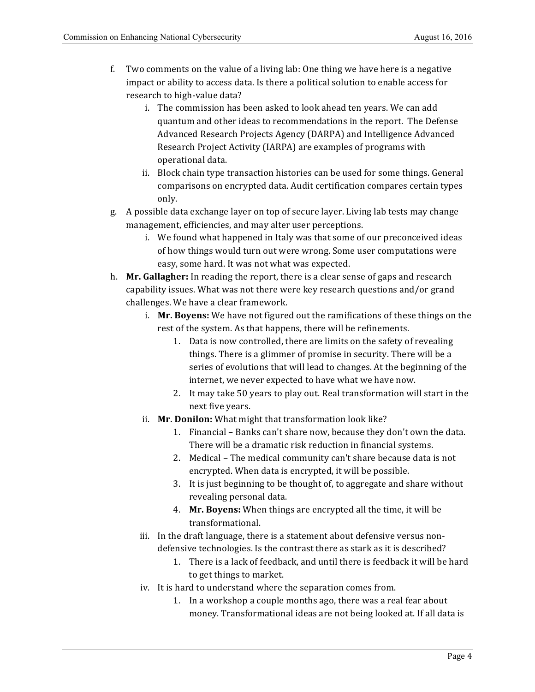- f. Two comments on the value of a living lab: One thing we have here is a negative impact or ability to access data. Is there a political solution to enable access for research to high-value data?
	- i. The commission has been asked to look ahead ten years. We can add quantum and other ideas to recommendations in the report. The Defense Advanced Research Projects Agency (DARPA) and Intelligence Advanced Research Project Activity (IARPA) are examples of programs with operational data.
	- ii. Block chain type transaction histories can be used for some things. General comparisons on encrypted data. Audit certification compares certain types only.
- g. A possible data exchange layer on top of secure layer. Living lab tests may change management, efficiencies, and may alter user perceptions.
	- i. We found what happened in Italy was that some of our preconceived ideas of how things would turn out were wrong. Some user computations were easy, some hard. It was not what was expected.
- h. Mr. Gallagher: In reading the report, there is a clear sense of gaps and research capability issues. What was not there were key research questions and/or grand challenges. We have a clear framework.
	- i. Mr. Boyens: We have not figured out the ramifications of these things on the rest of the system. As that happens, there will be refinements.
		- 1. Data is now controlled, there are limits on the safety of revealing things. There is a glimmer of promise in security. There will be a series of evolutions that will lead to changes. At the beginning of the internet, we never expected to have what we have now.
		- 2. It may take 50 years to play out. Real transformation will start in the next five years.
	- ii. **Mr. Donilon:** What might that transformation look like?
		- 1. Financial Banks can't share now, because they don't own the data. There will be a dramatic risk reduction in financial systems.
		- 2. Medical The medical community can't share because data is not encrypted. When data is encrypted, it will be possible.
		- 3. It is just beginning to be thought of, to aggregate and share without revealing personal data.
		- 4. **Mr. Boyens:** When things are encrypted all the time, it will be transformational.
	- iii. In the draft language, there is a statement about defensive versus nondefensive technologies. Is the contrast there as stark as it is described?
		- 1. There is a lack of feedback, and until there is feedback it will be hard to get things to market.
	- iv. It is hard to understand where the separation comes from.
		- 1. In a workshop a couple months ago, there was a real fear about money. Transformational ideas are not being looked at. If all data is